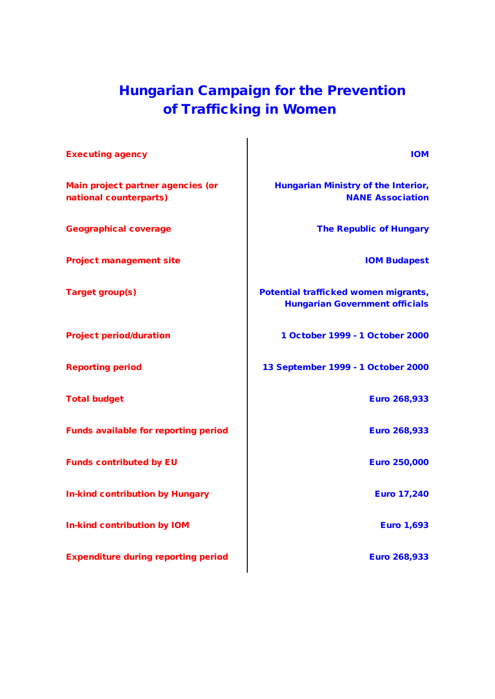# Hungarian Campaign for the Prevention of Trafficking in Women

| <b>Executing agency</b>                                     | <b>IOM</b>                                                                    |
|-------------------------------------------------------------|-------------------------------------------------------------------------------|
| Main project partner agencies (or<br>national counterparts) | <b>Hungarian Ministry of the Interior,</b><br><b>NANE Association</b>         |
| <b>Geographical coverage</b>                                | <b>The Republic of Hungary</b>                                                |
| <b>Project management site</b>                              | <b>IOM Budapest</b>                                                           |
| <b>Target group(s)</b>                                      | Potential trafficked women migrants,<br><b>Hungarian Government officials</b> |
| <b>Project period/duration</b>                              | 1 October 1999 - 1 October 2000                                               |
| <b>Reporting period</b>                                     | 13 September 1999 - 1 October 2000                                            |
| <b>Total budget</b>                                         | <b>Euro 268,933</b>                                                           |
| <b>Funds available for reporting period</b>                 | <b>Euro 268,933</b>                                                           |
| <b>Funds contributed by EU</b>                              | <b>Euro 250,000</b>                                                           |
| <b>In-kind contribution by Hungary</b>                      | <b>Euro 17,240</b>                                                            |
| <b>In-kind contribution by IOM</b>                          | <b>Euro 1,693</b>                                                             |
| <b>Expenditure during reporting period</b>                  | <b>Euro 268,933</b>                                                           |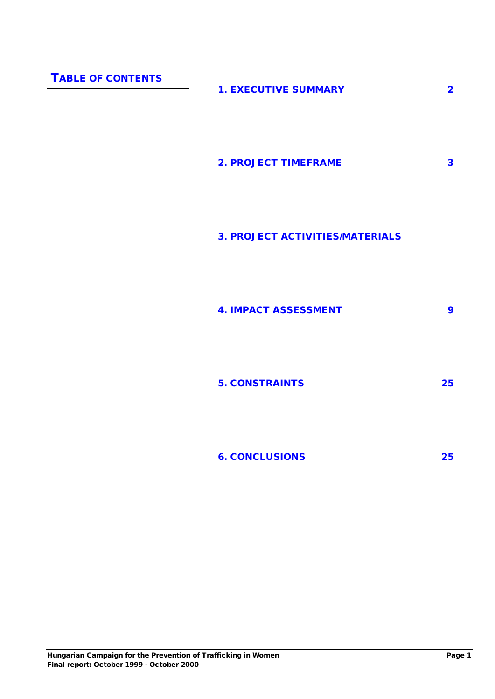# TABLE OF CONTENTS

| <b>1. EXECUTIVE SUMMARY</b> |  |
|-----------------------------|--|
|                             |  |
|                             |  |

2. PROJECT TIMEFRAME 3

#### 3. PROJECT ACTIVITIES/MATERIALS

4. IMPACT ASSESSMENT 9

5. CONSTRAINTS 25

6. CONCLUSIONS 25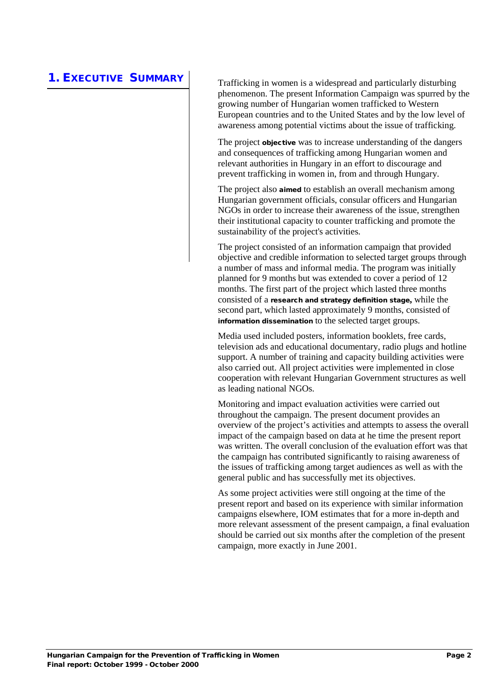**1. EXECUTIVE SUMMARY** Trafficking in women is a widespread and particularly disturbing phenomenon. The present Information Campaign was spurred by the growing number of Hungarian women trafficked to Western European countries and to the United States and by the low level of awareness among potential victims about the issue of trafficking.

> The project **objective** was to increase understanding of the dangers and consequences of trafficking among Hungarian women and relevant authorities in Hungary in an effort to discourage and prevent trafficking in women in, from and through Hungary.

The project also aimed to establish an overall mechanism among Hungarian government officials, consular officers and Hungarian NGOs in order to increase their awareness of the issue, strengthen their institutional capacity to counter trafficking and promote the sustainability of the project's activities.

The project consisted of an information campaign that provided objective and credible information to selected target groups through a number of mass and informal media. The program was initially planned for 9 months but was extended to cover a period of 12 months. The first part of the project which lasted three months consisted of a research and strategy definition stage**,** while the second part, which lasted approximately 9 months, consisted of information dissemination to the selected target groups.

Media used included posters, information booklets, free cards, television ads and educational documentary, radio plugs and hotline support. A number of training and capacity building activities were also carried out. All project activities were implemented in close cooperation with relevant Hungarian Government structures as well as leading national NGOs.

Monitoring and impact evaluation activities were carried out throughout the campaign. The present document provides an overview of the project's activities and attempts to assess the overall impact of the campaign based on data at he time the present report was written. The overall conclusion of the evaluation effort was that the campaign has contributed significantly to raising awareness of the issues of trafficking among target audiences as well as with the general public and has successfully met its objectives.

As some project activities were still ongoing at the time of the present report and based on its experience with similar information campaigns elsewhere, IOM estimates that for a more in-depth and more relevant assessment of the present campaign, a final evaluation should be carried out six months after the completion of the present campaign, more exactly in June 2001.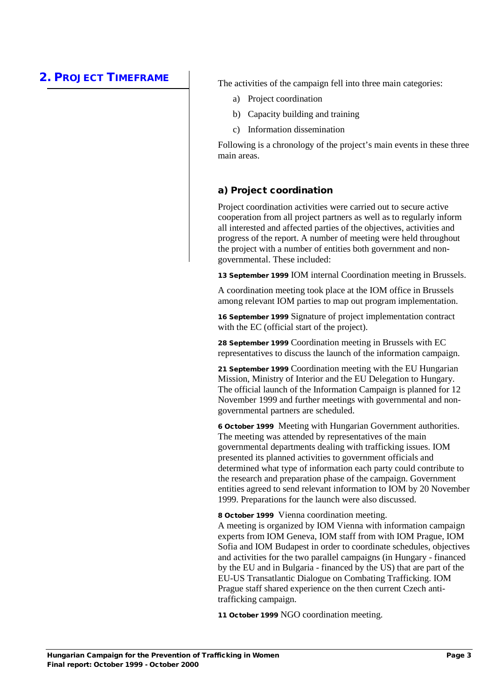**2. PROJECT TIMEFRAME** The activities of the campaign fell into three main categories:

- a) Project coordination
- b) Capacity building and training
- c) Information dissemination

Following is a chronology of the project's main events in these three main areas.

#### a) Project coordination

Project coordination activities were carried out to secure active cooperation from all project partners as well as to regularly inform all interested and affected parties of the objectives, activities and progress of the report. A number of meeting were held throughout the project with a number of entities both government and nongovernmental. These included:

13 September 1999 IOM internal Coordination meeting in Brussels.

A coordination meeting took place at the IOM office in Brussels among relevant IOM parties to map out program implementation.

16 September 1999 Signature of project implementation contract with the EC (official start of the project).

28 September 1999 Coordination meeting in Brussels with EC representatives to discuss the launch of the information campaign.

21 September 1999 Coordination meeting with the EU Hungarian Mission, Ministry of Interior and the EU Delegation to Hungary. The official launch of the Information Campaign is planned for 12 November 1999 and further meetings with governmental and nongovernmental partners are scheduled.

6 October 1999 Meeting with Hungarian Government authorities. The meeting was attended by representatives of the main governmental departments dealing with trafficking issues. IOM presented its planned activities to government officials and determined what type of information each party could contribute to the research and preparation phase of the campaign. Government entities agreed to send relevant information to IOM by 20 November 1999. Preparations for the launch were also discussed.

8 October 1999 Vienna coordination meeting. A meeting is organized by IOM Vienna with information campaign experts from IOM Geneva, IOM staff from with IOM Prague, IOM Sofia and IOM Budapest in order to coordinate schedules, objectives and activities for the two parallel campaigns (in Hungary - financed by the EU and in Bulgaria - financed by the US) that are part of the EU-US Transatlantic Dialogue on Combating Trafficking. IOM Prague staff shared experience on the then current Czech antitrafficking campaign.

11 October 1999 NGO coordination meeting.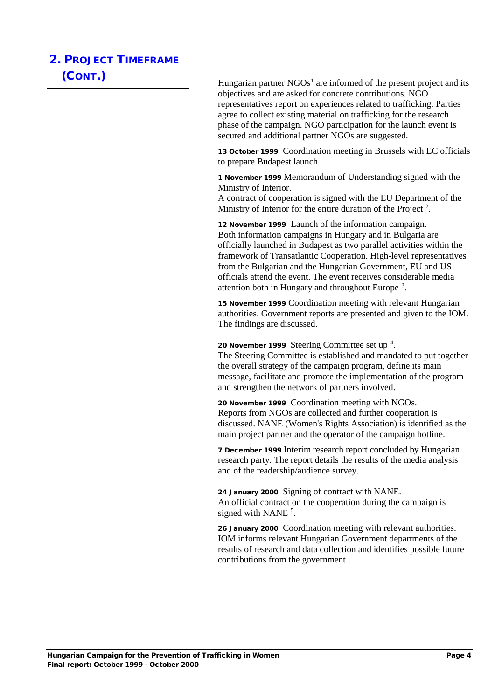$\textbf{(CONT.)}$  Hungarian partner NGOs<sup>[1](#page-30-0)</sup> are informed of the present project and its objectives and are asked for concrete contributions. NGO representatives report on experiences related to trafficking. Parties agree to collect existing material on trafficking for the research phase of the campaign. NGO participation for the launch event is secured and additional partner NGOs are suggested.

> 13 October 1999 Coordination meeting in Brussels with EC officials to prepare Budapest launch.

1 November 1999 Memorandum of Understanding signed with the Ministry of Interior.

A contract of cooperation is signed with the EU Department of the Ministry of Interior for the entire duration of the Project<sup>[2](#page-30-1)</sup>.

12 November 1999 Launch of the information campaign. Both information campaigns in Hungary and in Bulgaria are officially launched in Budapest as two parallel activities within the framework of Transatlantic Cooperation. High-level representatives from the Bulgarian and the Hungarian Government, EU and US officials attend the event. The event receives considerable media attention both in Hungary and throughout Europe [3](#page-30-2) .

15 November 1999 Coordination meeting with relevant Hungarian authorities. Government reports are presented and given to the IOM. The findings are discussed.

20 November 1999 Steering Committee set up  $4$ .

The Steering Committee is established and mandated to put together the overall strategy of the campaign program, define its main message, facilitate and promote the implementation of the program and strengthen the network of partners involved.

20 November 1999 Coordination meeting with NGOs. Reports from NGOs are collected and further cooperation is discussed. NANE (Women's Rights Association) is identified as the main project partner and the operator of the campaign hotline.

7 December 1999 Interim research report concluded by Hungarian research party. The report details the results of the media analysis and of the readership/audience survey.

24 January 2000 Signing of contract with NANE. An official contract on the cooperation during the campaign is signed with NANE<sup>[5](#page-30-4)</sup>.

26 January 2000 Coordination meeting with relevant authorities. IOM informs relevant Hungarian Government departments of the results of research and data collection and identifies possible future contributions from the government.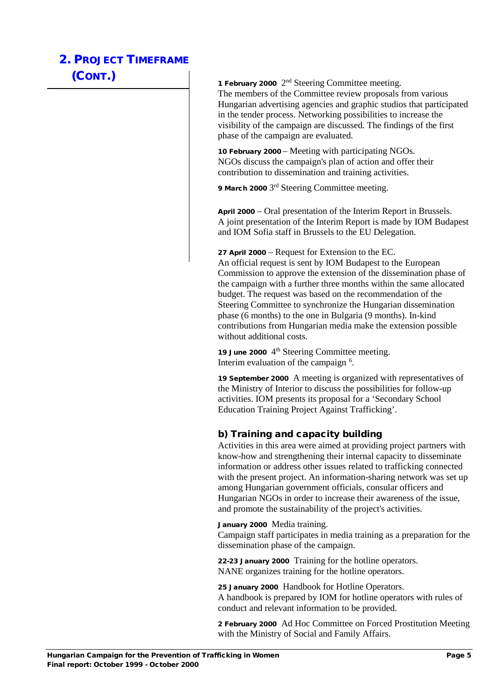# 2. PROJECT TIMEFRAME (CONT.)

**1 February 2000**  $2<sup>nd</sup>$  Steering Committee meeting. The members of the Committee review proposals from various Hungarian advertising agencies and graphic studios that participated in the tender process. Networking possibilities to increase the visibility of the campaign are discussed. The findings of the first phase of the campaign are evaluated.

10 February 2000 – Meeting with participating NGOs. NGOs discuss the campaign's plan of action and offer their contribution to dissemination and training activities.

9 March 2000 3<sup>rd</sup> Steering Committee meeting.

April 2000 – Oral presentation of the Interim Report in Brussels. A joint presentation of the Interim Report is made by IOM Budapest and IOM Sofia staff in Brussels to the EU Delegation.

27 April 2000 – Request for Extension to the EC. An official request is sent by IOM Budapest to the European Commission to approve the extension of the dissemination phase of the campaign with a further three months within the same allocated budget. The request was based on the recommendation of the Steering Committee to synchronize the Hungarian dissemination phase (6 months) to the one in Bulgaria (9 months). In-kind contributions from Hungarian media make the extension possible without additional costs.

19 June 2000  $4<sup>th</sup>$  Steering Committee meeting. Interim evaluation of the campaign [6](#page-30-5) .

19 September 2000 A meeting is organized with representatives of the Ministry of Interior to discuss the possibilities for follow-up activities. IOM presents its proposal for a 'Secondary School Education Training Project Against Trafficking'.

#### b) Training and capacity building

Activities in this area were aimed at providing project partners with know-how and strengthening their internal capacity to disseminate information or address other issues related to trafficking connected with the present project. An information-sharing network was set up among Hungarian government officials, consular officers and Hungarian NGOs in order to increase their awareness of the issue, and promote the sustainability of the project's activities.

#### January 2000 Media training.

Campaign staff participates in media training as a preparation for the dissemination phase of the campaign.

22-23 January 2000 Training for the hotline operators. NANE organizes training for the hotline operators.

25 January 2000 Handbook for Hotline Operators. A handbook is prepared by IOM for hotline operators with rules of conduct and relevant information to be provided.

2 February 2000 Ad Hoc Committee on Forced Prostitution Meeting with the Ministry of Social and Family Affairs.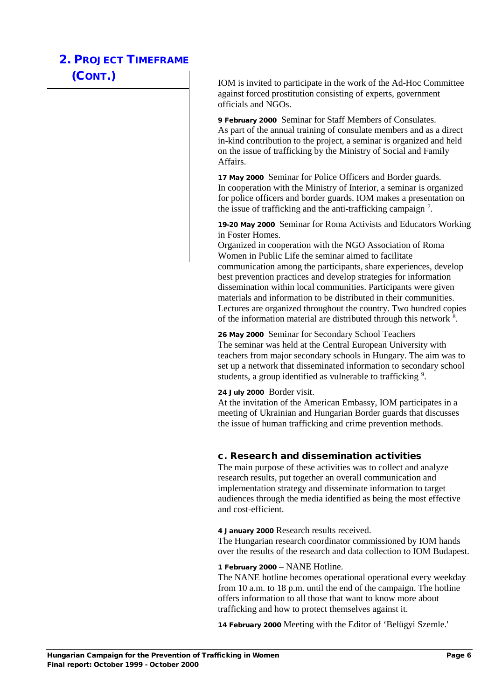(CONT.) IOM is invited to participate in the work of the Ad-Hoc Committee against forced prostitution consisting of experts, government officials and NGOs.

> 9 February 2000 Seminar for Staff Members of Consulates. As part of the annual training of consulate members and as a direct in-kind contribution to the project, a seminar is organized and held on the issue of trafficking by the Ministry of Social and Family Affairs.

> 17 May 2000 Seminar for Police Officers and Border guards. In cooperation with the Ministry of Interior, a seminar is organized for police officers and border guards. IOM makes a presentation on the issue of trafficking and the anti-trafficking campaign<sup>[7](#page-30-6)</sup>.

19-20 May 2000 Seminar for Roma Activists and Educators Working in Foster Homes.

Organized in cooperation with the NGO Association of Roma Women in Public Life the seminar aimed to facilitate communication among the participants, share experiences, develop best prevention practices and develop strategies for information dissemination within local communities. Participants were given materials and information to be distributed in their communities. Lectures are organized throughout the country. Two hundred copies of the information material are distributed through this network <sup>[8](#page-30-7)</sup>.

26 May 2000 Seminar for Secondary School Teachers The seminar was held at the Central European University with teachers from major secondary schools in Hungary. The aim was to set up a network that disseminated information to secondary school students, a group identified as vulnerable to trafficking <sup>[9](#page-30-8)</sup>.

#### 24 July 2000 Border visit.

At the invitation of the American Embassy, IOM participates in a meeting of Ukrainian and Hungarian Border guards that discusses the issue of human trafficking and crime prevention methods.

#### c. Research and dissemination activities

The main purpose of these activities was to collect and analyze research results, put together an overall communication and implementation strategy and disseminate information to target audiences through the media identified as being the most effective and cost-efficient.

4 January 2000 Research results received.

The Hungarian research coordinator commissioned by IOM hands over the results of the research and data collection to IOM Budapest.

#### 1 February 2000 – NANE Hotline.

The NANE hotline becomes operational operational every weekday from 10 a.m. to 18 p.m. until the end of the campaign. The hotline offers information to all those that want to know more about trafficking and how to protect themselves against it.

14 February 2000 Meeting with the Editor of 'Belügyi Szemle.'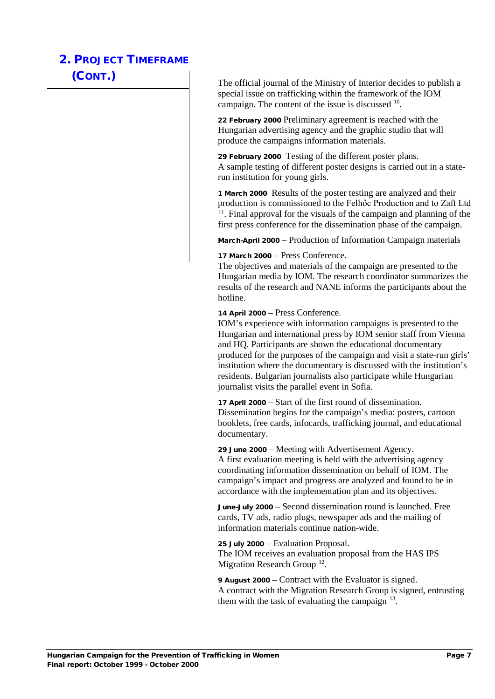(CONT.) The official journal of the Ministry of Interior decides to publish a special issue on trafficking within the framework of the IOM campaign. The content of the issue is discussed [10.](#page-30-9)

> 22 February 2000 Preliminary agreement is reached with the Hungarian advertising agency and the graphic studio that will produce the campaigns information materials.

29 February 2000 Testing of the different poster plans. A sample testing of different poster designs is carried out in a staterun institution for young girls.

1 March 2000 Results of the poster testing are analyzed and their production is commissioned to the Felhőc Production and to Zaft Ltd  $11$ . Final approval for the visuals of the campaign and planning of the first press conference for the dissemination phase of the campaign.

March-April 2000 – Production of Information Campaign materials

#### 17 March 2000 – Press Conference.

The objectives and materials of the campaign are presented to the Hungarian media by IOM. The research coordinator summarizes the results of the research and NANE informs the participants about the hotline.

#### 14 April 2000 – Press Conference.

IOM's experience with information campaigns is presented to the Hungarian and international press by IOM senior staff from Vienna and HQ. Participants are shown the educational documentary produced for the purposes of the campaign and visit a state-run girls' institution where the documentary is discussed with the institution's residents. Bulgarian journalists also participate while Hungarian journalist visits the parallel event in Sofia.

17 April 2000 – Start of the first round of dissemination. Dissemination begins for the campaign's media: posters, cartoon booklets, free cards, infocards, trafficking journal, and educational documentary.

29 June 2000 – Meeting with Advertisement Agency. A first evaluation meeting is held with the advertising agency coordinating information dissemination on behalf of IOM. The campaign's impact and progress are analyzed and found to be in accordance with the implementation plan and its objectives.

June-July 2000 – Second dissemination round is launched. Free cards, TV ads, radio plugs, newspaper ads and the mailing of information materials continue nation-wide.

25 July 2000 – Evaluation Proposal. The IOM receives an evaluation proposal from the HAS IPS Migration Research Group [12](#page-30-11).

9 August 2000 – Contract with the Evaluator is signed. A contract with the Migration Research Group is signed, entrusting them with the task of evaluating the campaign  $13$ .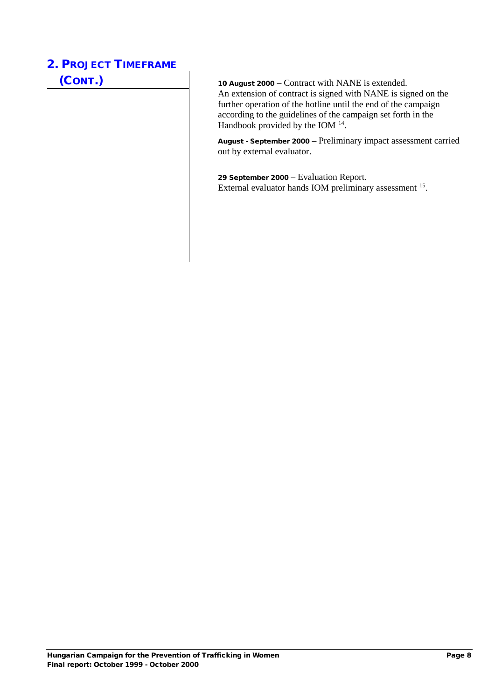(CONT.) 10 August 2000 – Contract with NANE is extended. An extension of contract is signed with NANE is signed on the further operation of the hotline until the end of the campaign according to the guidelines of the campaign set forth in the Handbook provided by the IOM [14](#page-30-13).

> August - September 2000 – Preliminary impact assessment carried out by external evaluator.

29 September 2000 – Evaluation Report. External evaluator hands IOM preliminary assessment [15.](#page-30-14)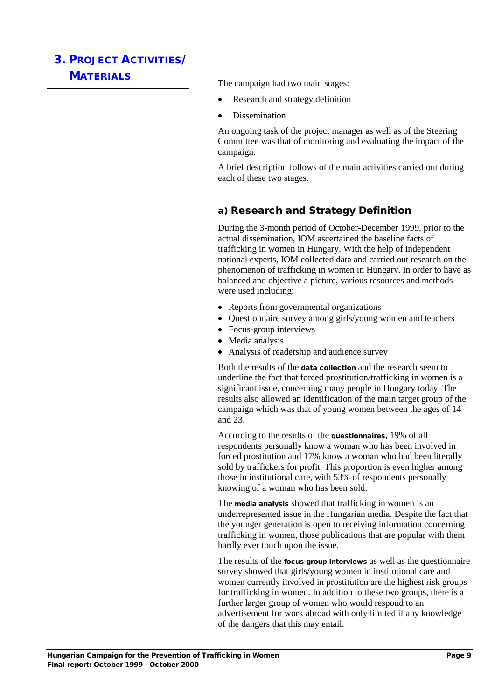**MATERIALS** The campaign had two main stages:

- Research and strategy definition
- Dissemination

An ongoing task of the project manager as well as of the Steering Committee was that of monitoring and evaluating the impact of the campaign.

A brief description follows of the main activities carried out during each of these two stages.

### a) Research and Strategy Definition

During the 3-month period of October-December 1999, prior to the actual dissemination, IOM ascertained the baseline facts of trafficking in women in Hungary. With the help of independent national experts, IOM collected data and carried out research on the phenomenon of trafficking in women in Hungary. In order to have as balanced and objective a picture, various resources and methods were used including:

- Reports from governmental organizations
- Questionnaire survey among girls/young women and teachers
- Focus-group interviews
- Media analysis
- Analysis of readership and audience survey

Both the results of the data collection and the research seem to underline the fact that forced prostitution/trafficking in women is a significant issue, concerning many people in Hungary today. The results also allowed an identification of the main target group of the campaign which was that of young women between the ages of 14 and 23.

According to the results of the questionnaires, 19% of all respondents personally know a woman who has been involved in forced prostitution and 17% know a woman who had been literally sold by traffickers for profit. This proportion is even higher among those in institutional care, with 53% of respondents personally knowing of a woman who has been sold.

The media analysis showed that trafficking in women is an underrepresented issue in the Hungarian media. Despite the fact that the younger generation is open to receiving information concerning trafficking in women, those publications that are popular with them hardly ever touch upon the issue.

The results of the focus-group interviews as well as the questionnaire survey showed that girls/young women in institutional care and women currently involved in prostitution are the highest risk groups for trafficking in women. In addition to these two groups, there is a further larger group of women who would respond to an advertisement for work abroad with only limited if any knowledge of the dangers that this may entail.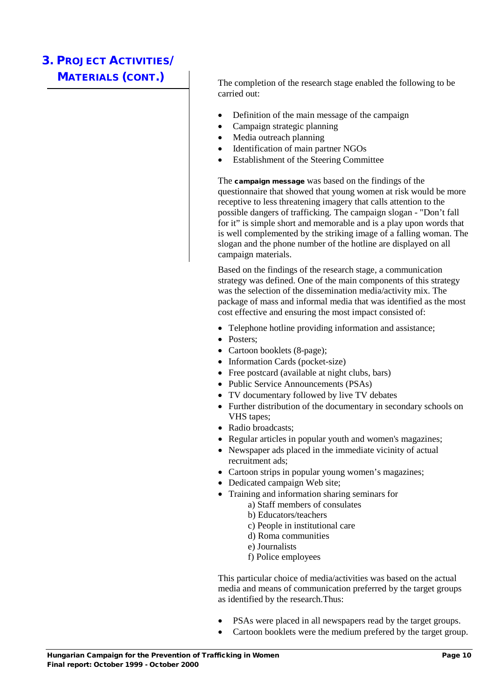**MATERIALS (CONT.)** The completion of the research stage enabled the following to be carried out:

- Definition of the main message of the campaign
- Campaign strategic planning
- Media outreach planning
- Identification of main partner NGOs
- Establishment of the Steering Committee

The campaign message was based on the findings of the questionnaire that showed that young women at risk would be more receptive to less threatening imagery that calls attention to the possible dangers of trafficking. The campaign slogan - "Don't fall for it" is simple short and memorable and is a play upon words that is well complemented by the striking image of a falling woman. The slogan and the phone number of the hotline are displayed on all campaign materials.

Based on the findings of the research stage, a communication strategy was defined. One of the main components of this strategy was the selection of the dissemination media/activity mix. The package of mass and informal media that was identified as the most cost effective and ensuring the most impact consisted of:

- Telephone hotline providing information and assistance;
- Posters:
- Cartoon booklets (8-page);
- Information Cards (pocket-size)
- Free postcard (available at night clubs, bars)
- Public Service Announcements (PSAs)
- TV documentary followed by live TV debates
- Further distribution of the documentary in secondary schools on VHS tapes;
- Radio broadcasts:
- Regular articles in popular youth and women's magazines;
- Newspaper ads placed in the immediate vicinity of actual recruitment ads;
- Cartoon strips in popular young women's magazines;
- Dedicated campaign Web site;
- Training and information sharing seminars for
	- a) Staff members of consulates
	- b) Educators/teachers
	- c) People in institutional care
	- d) Roma communities
	- e) Journalists
	- f) Police employees

This particular choice of media/activities was based on the actual media and means of communication preferred by the target groups as identified by the research.Thus:

- PSAs were placed in all newspapers read by the target groups.
- Cartoon booklets were the medium prefered by the target group.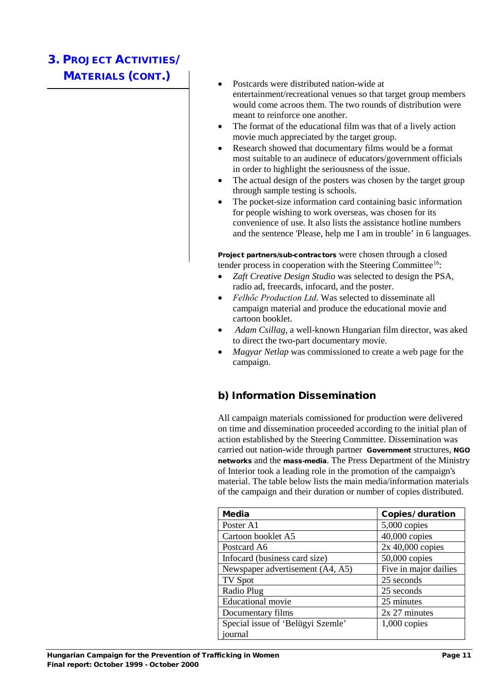- MATERIALS (CONT.) Postcards were distributed nation-wide at entertainment/recreational venues so that target group members would come acroos them. The two rounds of distribution were meant to reinforce one another.
	- The format of the educational film was that of a lively action movie much appreciated by the target group.
	- Research showed that documentary films would be a format most suitable to an audinece of educators/government officials in order to highlight the seriousness of the issue.
	- The actual design of the posters was chosen by the target group through sample testing is schools.
	- The pocket-size information card containing basic information for people wishing to work overseas, was chosen for its convenience of use. It also lists the assistance hotline numbers and the sentence 'Please, help me I am in trouble' in 6 languages.

Project partners/sub-contractors were chosen through a closed tender process in cooperation with the Steering Committee<sup>16</sup>:

- *Zaft Creative Design Studio* was selected to design the PSA, radio ad, freecards, infocard, and the poster.
- *Felhőc Production Ltd*. Was selected to disseminate all campaign material and produce the educational movie and cartoon booklet.
- *Adam Csillag,* a well-known Hungarian film director, was aked to direct the two-part documentary movie.
- *Magyar Netlap* was commissioned to create a web page for the campaign.

# b) Information Dissemination

All campaign materials comissioned for production were delivered on time and dissemination proceeded according to the initial plan of action established by the Steering Committee. Dissemination was carried out nation-wide through partner Government structures, NGO networks and the mass-media. The Press Department of the Ministry of Interior took a leading role in the promotion of the campaign's material. The table below lists the main media/information materials of the campaign and their duration or number of copies distributed.

| <b>Media</b>                      | <b>Copies/ duration</b> |
|-----------------------------------|-------------------------|
| Poster A1                         | $5,000$ copies          |
| Cartoon booklet A5                | 40,000 copies           |
| Postcard A6                       | $2x\,40,000$ copies     |
| Infocard (business card size)     | $50,000$ copies         |
| Newspaper advertisement (A4, A5)  | Five in major dailies   |
| <b>TV Spot</b>                    | 25 seconds              |
| Radio Plug                        | 25 seconds              |
| <b>Educational</b> movie          | 25 minutes              |
| Documentary films                 | $2x 27$ minutes         |
| Special issue of 'Belügyi Szemle' | $1,000$ copies          |
| journal                           |                         |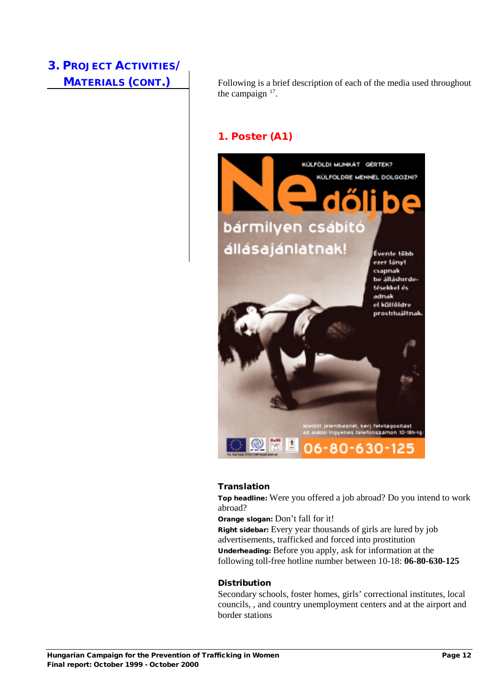**MATERIALS (CONT.)** Following is a brief description of each of the media used throughout the campaign  $17$ .

# 1. Poster (A1)



#### **Translation**

Top headline: Were you offered a job abroad? Do you intend to work abroad?

Orange slogan: Don't fall for it!

Right sidebar: Every year thousands of girls are lured by job advertisements, trafficked and forced into prostitution Underheading: Before you apply, ask for information at the following toll-free hotline number between 10-18: **06-80-630-125**

#### Distribution

Secondary schools, foster homes, girls' correctional institutes, local councils, , and country unemployment centers and at the airport and border stations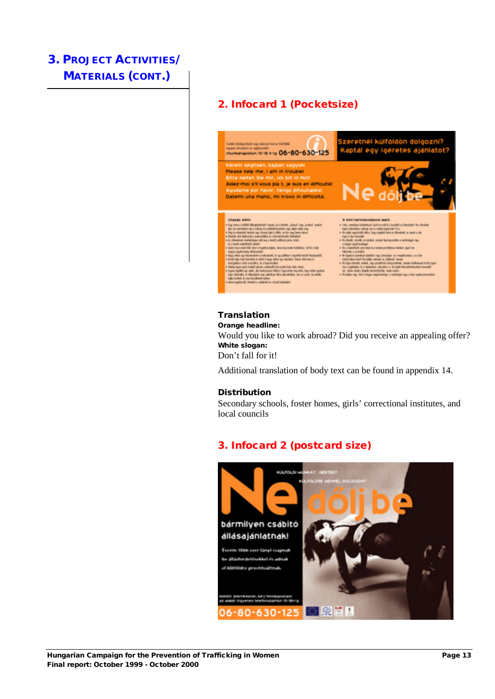# 3. PROJECT ACTIVITIES/ MATERIALS (CONT.)

# 2. Infocard 1 (Pocketsize)



#### Translation

Orange headline: Would you like to work abroad? Did you receive an appealing offer? White slogan: Don't fall for it!

Additional translation of body text can be found in appendix 14.

#### Distribution

Secondary schools, foster homes, girls' correctional institutes, and local councils

### 3. Infocard 2 (postcard size)

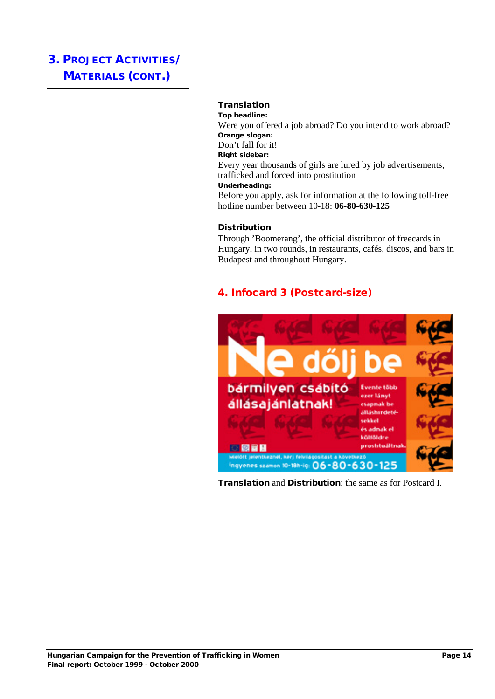# 3. PROJECT ACTIVITIES/ MATERIALS (CONT.)

#### **Translation**

Top headline: Were you offered a job abroad? Do you intend to work abroad? Orange slogan: Don't fall for it! Right sidebar: Every year thousands of girls are lured by job advertisements, trafficked and forced into prostitution Underheading: Before you apply, ask for information at the following toll-free hotline number between 10-18: **06-80-630-125**

#### **Distribution**

Through 'Boomerang', the official distributor of freecards in Hungary, in two rounds, in restaurants, cafés, discos, and bars in Budapest and throughout Hungary.

# 4. Infocard 3 (Postcard-size)



Translation and Distribution: the same as for Postcard I.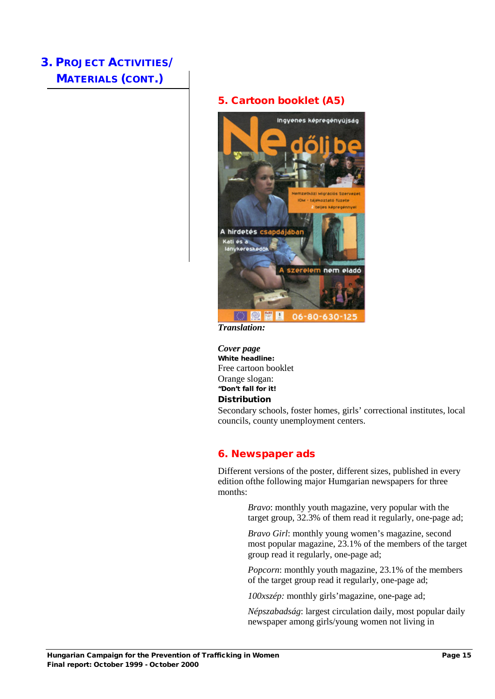# 3. PROJECT ACTIVITIES/ MATERIALS (CONT.)

### 5. Cartoon booklet (A5)



*Translation:*

#### *Cover page*

White headline: Free cartoon booklet Orange slogan: "Don't fall for it!

#### **Distribution**

Secondary schools, foster homes, girls' correctional institutes, local councils, county unemployment centers.

#### 6. Newspaper ads

Different versions of the poster, different sizes, published in every edition ofthe following major Humgarian newspapers for three months:

> *Bravo*: monthly youth magazine, very popular with the target group, 32.3% of them read it regularly, one-page ad;

*Bravo Girl*: monthly young women's magazine, second most popular magazine, 23.1% of the members of the target group read it regularly, one-page ad;

*Popcorn*: monthly youth magazine, 23.1% of the members of the target group read it regularly, one-page ad;

*100xszép:* monthly girls'magazine, one-page ad;

*Népszabadság*: largest circulation daily, most popular daily newspaper among girls/young women not living in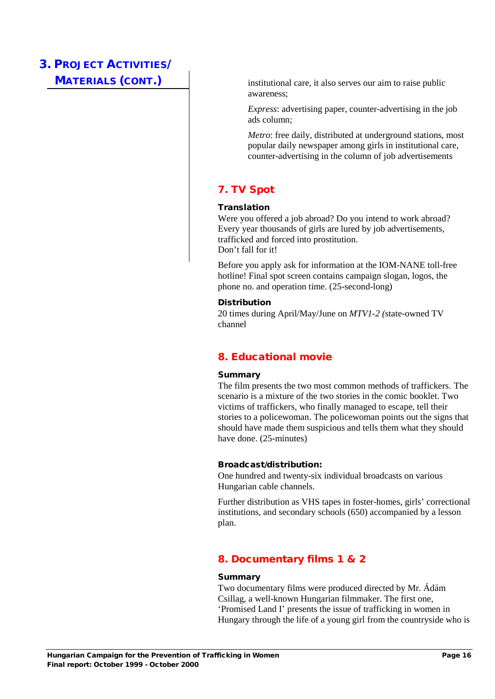**MATERIALS (CONT.)** institutional care, it also serves our aim to raise public awareness;

> *Express*: advertising paper, counter-advertising in the job ads column;

*Metro*: free daily, distributed at underground stations, most popular daily newspaper among girls in institutional care, counter-advertising in the column of job advertisements

# 7. TV Spot

#### **Translation**

Were you offered a job abroad? Do you intend to work abroad? Every year thousands of girls are lured by job advertisements, trafficked and forced into prostitution. Don't fall for it!

Before you apply ask for information at the IOM-NANE toll-free hotline! Final spot screen contains campaign slogan, logos, the phone no. and operation time. (25-second-long)

#### **Distribution**

20 times during April/May/June on *MTV1-2 (*state-owned TV channel

# 8. Educational movie

#### Summary

The film presents the two most common methods of traffickers. The scenario is a mixture of the two stories in the comic booklet. Two victims of traffickers, who finally managed to escape, tell their stories to a policewoman. The policewoman points out the signs that should have made them suspicious and tells them what they should have done. (25-minutes)

#### Broadcast/distribution:

One hundred and twenty-six individual broadcasts on various Hungarian cable channels.

Further distribution as VHS tapes in foster-homes, girls' correctional institutions, and secondary schools (650) accompanied by a lesson plan.

# 8. Documentary films 1 & 2

#### **Summary**

Two documentary films were produced directed by Mr. Ádám Csillag, a well-known Hungarian filmmaker. The first one, 'Promised Land I' presents the issue of trafficking in women in Hungary through the life of a young girl from the countryside who is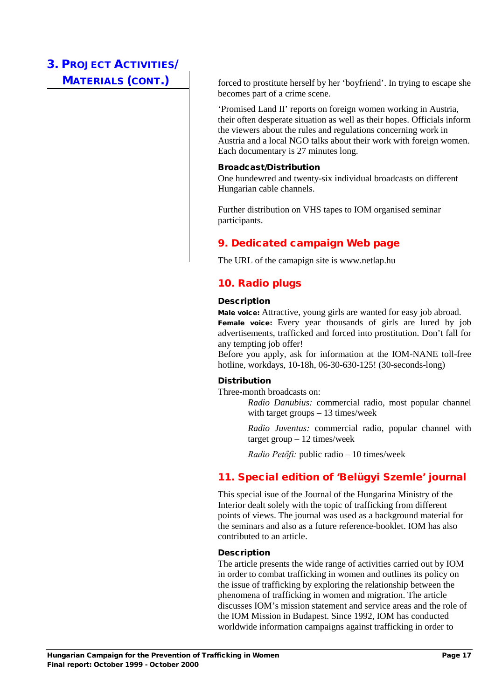**MATERIALS (CONT.)** forced to prostitute herself by her 'boyfriend'. In trying to escape she becomes part of a crime scene.

> 'Promised Land II' reports on foreign women working in Austria, their often desperate situation as well as their hopes. Officials inform the viewers about the rules and regulations concerning work in Austria and a local NGO talks about their work with foreign women. Each documentary is 27 minutes long.

#### Broadcast/Distribution

One hundewred and twenty-six individual broadcasts on different Hungarian cable channels.

Further distribution on VHS tapes to IOM organised seminar participants.

### 9. Dedicated campaign Web page

The URL of the camapign site is www.netlap.hu

### 10. Radio plugs

#### Description

Male voice: Attractive, young girls are wanted for easy job abroad. Female voice: Every year thousands of girls are lured by job advertisements, trafficked and forced into prostitution. Don't fall for any tempting job offer!

Before you apply, ask for information at the IOM-NANE toll-free hotline, workdays, 10-18h, 06-30-630-125! (30-seconds-long)

#### Distribution

Three-month broadcasts on:

*Radio Danubius:* commercial radio, most popular channel with target groups – 13 times/week

*Radio Juventus:* commercial radio, popular channel with target group – 12 times/week

*Radio Petőfi:* public radio – 10 times/week

### 11. Special edition of 'Belügyi Szemle' journal

This special isue of the Journal of the Hungarina Ministry of the Interior dealt solely with the topic of trafficking from different points of views. The journal was used as a background material for the seminars and also as a future reference-booklet. IOM has also contributed to an article.

#### **Description**

The article presents the wide range of activities carried out by IOM in order to combat trafficking in women and outlines its policy on the issue of trafficking by exploring the relationship between the phenomena of trafficking in women and migration. The article discusses IOM's mission statement and service areas and the role of the IOM Mission in Budapest. Since 1992, IOM has conducted worldwide information campaigns against trafficking in order to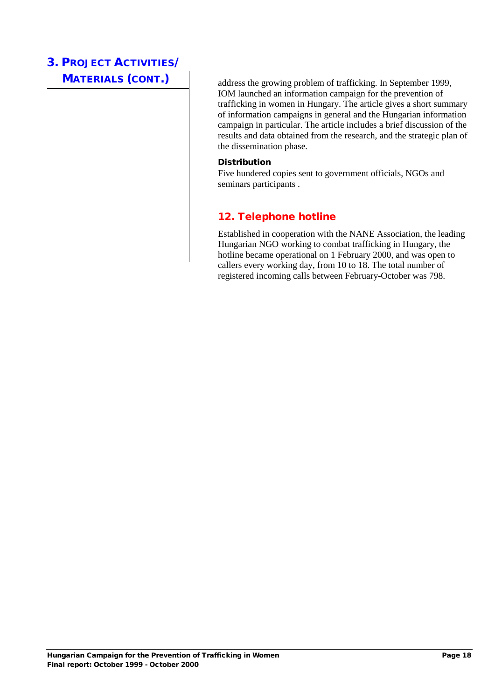**MATERIALS (CONT.)** address the growing problem of trafficking. In September 1999, IOM launched an information campaign for the prevention of trafficking in women in Hungary. The article gives a short summary of information campaigns in general and the Hungarian information campaign in particular. The article includes a brief discussion of the results and data obtained from the research, and the strategic plan of the dissemination phase*.*

#### Distribution

Five hundered copies sent to government officials, NGOs and seminars participants .

### 12. Telephone hotline

Established in cooperation with the NANE Association, the leading Hungarian NGO working to combat trafficking in Hungary, the hotline became operational on 1 February 2000, and was open to callers every working day, from 10 to 18. The total number of registered incoming calls between February-October was 798.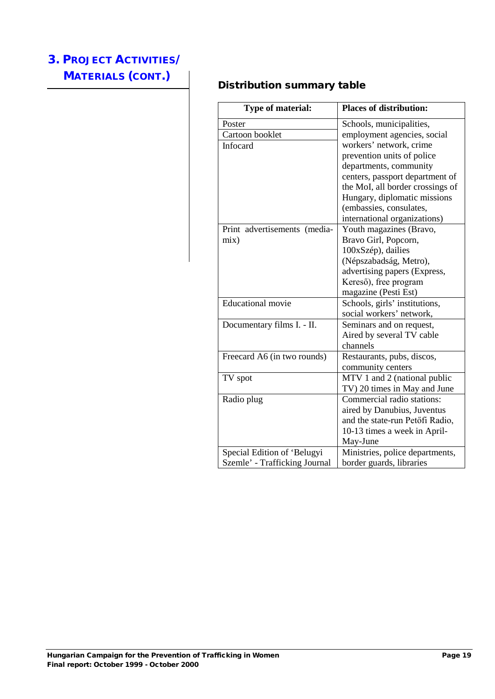# MATERIALS (CONT.)<br>
Distribution summary table

| Type of material:             | <b>Places of distribution:</b>   |
|-------------------------------|----------------------------------|
| Poster                        | Schools, municipalities,         |
| Cartoon booklet               | employment agencies, social      |
| Infocard                      | workers' network, crime          |
|                               | prevention units of police       |
|                               | departments, community           |
|                               | centers, passport department of  |
|                               | the MoI, all border crossings of |
|                               | Hungary, diplomatic missions     |
|                               | (embassies, consulates,          |
|                               | international organizations)     |
| Print advertisements (media-  | Youth magazines (Bravo,          |
| mix)                          | Bravo Girl, Popcorn,             |
|                               | 100xSzép), dailies               |
|                               | (Népszabadság, Metro),           |
|                               | advertising papers (Express,     |
|                               | Kereső), free program            |
|                               | magazine (Pesti Est)             |
| <b>Educational</b> movie      | Schools, girls' institutions,    |
|                               | social workers' network.         |
| Documentary films I. - II.    | Seminars and on request,         |
|                               | Aired by several TV cable        |
|                               | channels                         |
| Freecard A6 (in two rounds)   | Restaurants, pubs, discos,       |
|                               | community centers                |
| TV spot                       | MTV 1 and 2 (national public     |
|                               | TV) 20 times in May and June     |
| Radio plug                    | Commercial radio stations:       |
|                               | aired by Danubius, Juventus      |
|                               | and the state-run Petőfi Radio,  |
|                               | 10-13 times a week in April-     |
|                               | May-June                         |
| Special Edition of 'Belugyi   | Ministries, police departments,  |
| Szemle' - Trafficking Journal | border guards, libraries         |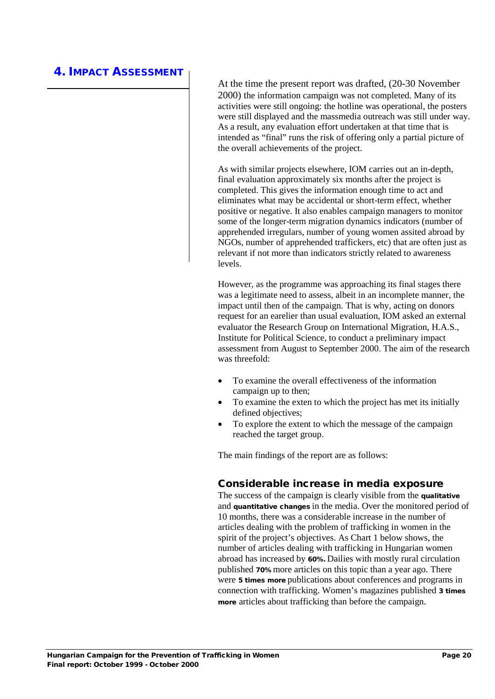### 4. IMPACT ASSESSMENT

At the time the present report was drafted, (20-30 November 2000) the information campaign was not completed. Many of its activities were still ongoing: the hotline was operational, the posters were still displayed and the massmedia outreach was still under way. As a result, any evaluation effort undertaken at that time that is intended as "final" runs the risk of offering only a partial picture of the overall achievements of the project.

As with similar projects elsewhere, IOM carries out an in-depth, final evaluation approximately six months after the project is completed. This gives the information enough time to act and eliminates what may be accidental or short-term effect, whether positive or negative. It also enables campaign managers to monitor some of the longer-term migration dynamics indicators (number of apprehended irregulars, number of young women assited abroad by NGOs, number of apprehended traffickers, etc) that are often just as relevant if not more than indicators strictly related to awareness levels.

However, as the programme was approaching its final stages there was a legitimate need to assess, albeit in an incomplete manner, the impact until then of the campaign. That is why, acting on donors request for an earelier than usual evaluation, IOM asked an external evaluator the Research Group on International Migration, H.A.S., Institute for Political Science, to conduct a preliminary impact assessment from August to September 2000. The aim of the research was threefold:

- To examine the overall effectiveness of the information campaign up to then;
- To examine the exten to which the project has met its initially defined objectives;
- To explore the extent to which the message of the campaign reached the target group.

The main findings of the report are as follows:

#### Considerable increase in media exposure

The success of the campaign is clearly visible from the qualitative and quantitative changes in the media. Over the monitored period of 10 months, there was a considerable increase in the number of articles dealing with the problem of trafficking in women in the spirit of the project's objectives. As Chart 1 below shows, the number of articles dealing with trafficking in Hungarian women abroad has increased by 60%. Dailies with mostly rural circulation published 70% more articles on this topic than a year ago. There were 5 times more publications about conferences and programs in connection with trafficking. Women's magazines published 3 times more articles about trafficking than before the campaign.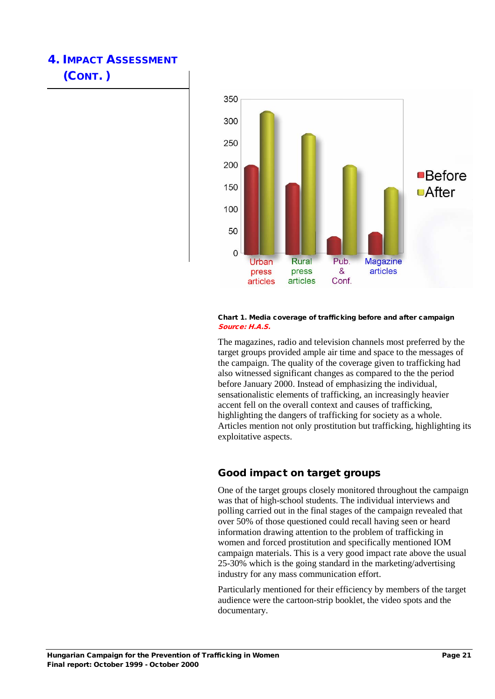

#### Chart 1. Media coverage of trafficking before and after campaign Source: H.A.S.

The magazines, radio and television channels most preferred by the target groups provided ample air time and space to the messages of the campaign. The quality of the coverage given to trafficking had also witnessed significant changes as compared to the the period before January 2000. Instead of emphasizing the individual, sensationalistic elements of trafficking, an increasingly heavier accent fell on the overall context and causes of trafficking, highlighting the dangers of trafficking for society as a whole. Articles mention not only prostitution but trafficking, highlighting its exploitative aspects.

# Good impact on target groups

One of the target groups closely monitored throughout the campaign was that of high-school students. The individual interviews and polling carried out in the final stages of the campaign revealed that over 50% of those questioned could recall having seen or heard information drawing attention to the problem of trafficking in women and forced prostitution and specifically mentioned IOM campaign materials. This is a very good impact rate above the usual 25-30% which is the going standard in the marketing/advertising industry for any mass communication effort.

Particularly mentioned for their efficiency by members of the target audience were the cartoon-strip booklet, the video spots and the documentary.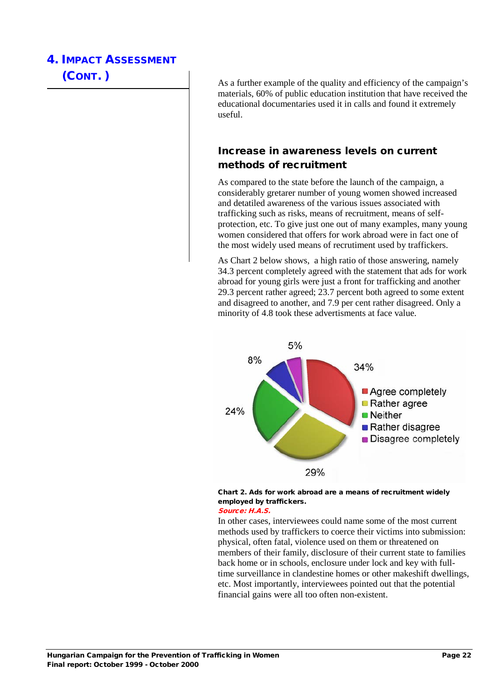# 4. IMPACT ASSESSMENT

(CONT.)<br>As a further example of the quality and efficiency of the campaign's materials, 60% of public education institution that have received the educational documentaries used it in calls and found it extremely useful.

# Increase in awareness levels on current methods of recruitment

As compared to the state before the launch of the campaign, a considerably gretarer number of young women showed increased and detatiled awareness of the various issues associated with trafficking such as risks, means of recruitment, means of selfprotection, etc. To give just one out of many examples, many young women considered that offers for work abroad were in fact one of the most widely used means of recrutiment used by traffickers.

As Chart 2 below shows, a high ratio of those answering, namely 34.3 percent completely agreed with the statement that ads for work abroad for young girls were just a front for trafficking and another 29.3 percent rather agreed; 23.7 percent both agreed to some extent and disagreed to another, and 7.9 per cent rather disagreed. Only a minority of 4.8 took these advertisments at face value.



#### Chart 2. Ads for work abroad are a means of recruitment widely employed by traffickers. Source: H.A.S.

In other cases, interviewees could name some of the most current methods used by traffickers to coerce their victims into submission: physical, often fatal, violence used on them or threatened on members of their family, disclosure of their current state to families back home or in schools, enclosure under lock and key with fulltime surveillance in clandestine homes or other makeshift dwellings, etc. Most importantly, interviewees pointed out that the potential financial gains were all too often non-existent.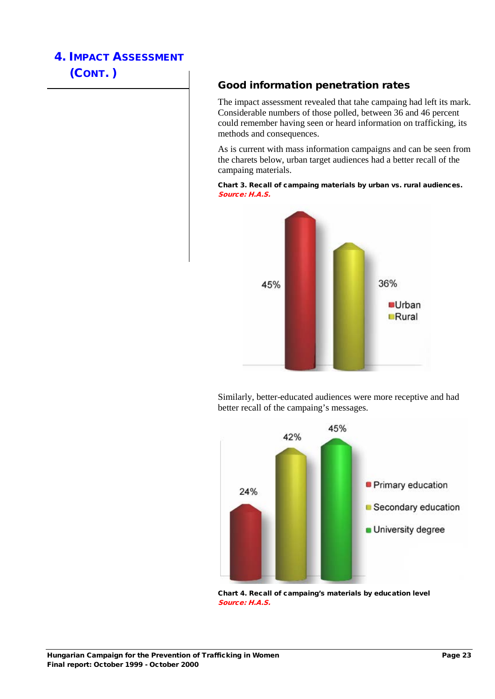### Good information penetration rates

The impact assessment revealed that tahe campaing had left its mark. Considerable numbers of those polled, between 36 and 46 percent could remember having seen or heard information on trafficking, its methods and consequences.

As is current with mass information campaigns and can be seen from the charets below, urban target audiences had a better recall of the campaing materials.

Chart 3. Recall of campaing materials by urban vs. rural audiences. Source: H.A.S.



Similarly, better-educated audiences were more receptive and had better recall of the campaing's messages.



Chart 4. Recall of campaing's materials by education level Source: H.A.S.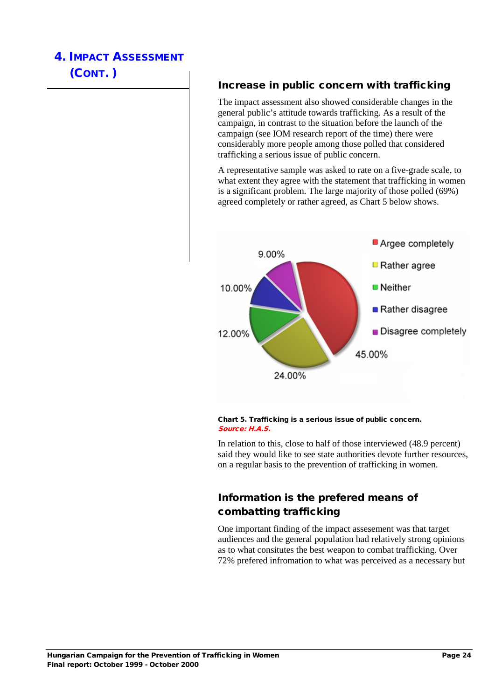### Increase in public concern with trafficking

The impact assessment also showed considerable changes in the general public's attitude towards trafficking. As a result of the campaign, in contrast to the situation before the launch of the campaign (see IOM research report of the time) there were considerably more people among those polled that considered trafficking a serious issue of public concern.

A representative sample was asked to rate on a five-grade scale, to what extent they agree with the statement that trafficking in women is a significant problem. The large majority of those polled (69%) agreed completely or rather agreed, as Chart 5 below shows.



Chart 5. Trafficking is a serious issue of public concern. Source: H.A.S.

In relation to this, close to half of those interviewed (48.9 percent) said they would like to see state authorities devote further resources, on a regular basis to the prevention of trafficking in women.

# Information is the prefered means of combatting trafficking

One important finding of the impact assesement was that target audiences and the general population had relatively strong opinions as to what consitutes the best weapon to combat trafficking. Over 72% prefered infromation to what was perceived as a necessary but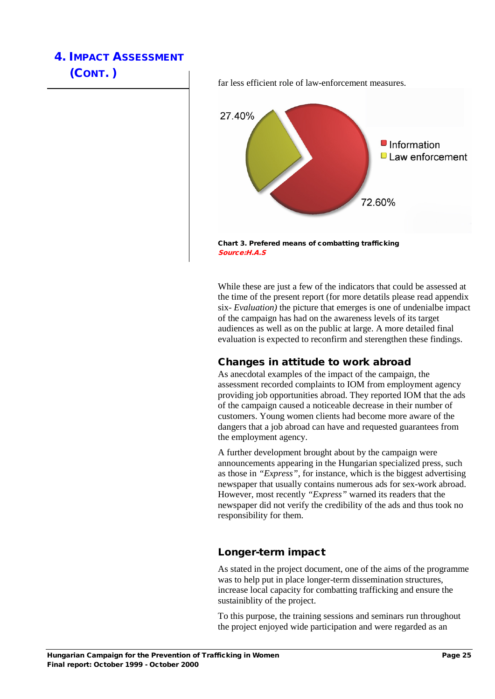27.40% **Information**  $\blacksquare$  Law enforcement 72.60% Chart 3. Prefered means of combatting trafficking

Source:H.A.S

far less efficient role of law-enforcement measures.

While these are just a few of the indicators that could be assessed at the time of the present report (for more detatils please read appendix six- *Evaluation)* the picture that emerges is one of undenialbe impact of the campaign has had on the awareness levels of its target audiences as well as on the public at large. A more detailed final evaluation is expected to reconfirm and sterengthen these findings.

# Changes in attitude to work abroad

As anecdotal examples of the impact of the campaign, the assessment recorded complaints to IOM from employment agency providing job opportunities abroad. They reported IOM that the ads of the campaign caused a noticeable decrease in their number of customers. Young women clients had become more aware of the dangers that a job abroad can have and requested guarantees from the employment agency.

A further development brought about by the campaign were announcements appearing in the Hungarian specialized press, such as those in *"Express"*, for instance, which is the biggest advertising newspaper that usually contains numerous ads for sex-work abroad. However, most recently *"Express"* warned its readers that the newspaper did not verify the credibility of the ads and thus took no responsibility for them.

# Longer-term impact

As stated in the project document, one of the aims of the programme was to help put in place longer-term dissemination structures, increase local capacity for combatting trafficking and ensure the sustainiblity of the project.

To this purpose, the training sessions and seminars run throughout the project enjoyed wide participation and were regarded as an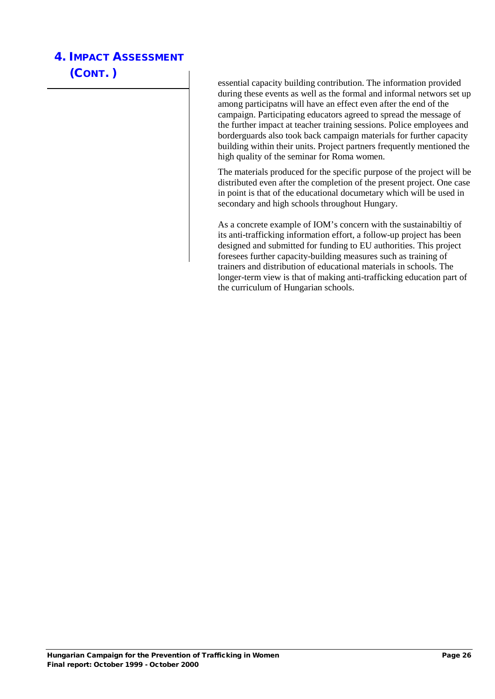essential capacity building contribution. The information provided during these events as well as the formal and informal networs set up among participatns will have an effect even after the end of the campaign. Participating educators agreed to spread the message of the further impact at teacher training sessions. Police employees and borderguards also took back campaign materials for further capacity building within their units. Project partners frequently mentioned the high quality of the seminar for Roma women.

The materials produced for the specific purpose of the project will be distributed even after the completion of the present project. One case in point is that of the educational documetary which will be used in secondary and high schools throughout Hungary.

As a concrete example of IOM's concern with the sustainabiltiy of its anti-trafficking information effort, a follow-up project has been designed and submitted for funding to EU authorities. This project foresees further capacity-building measures such as training of trainers and distribution of educational materials in schools. The longer-term view is that of making anti-trafficking education part of the curriculum of Hungarian schools.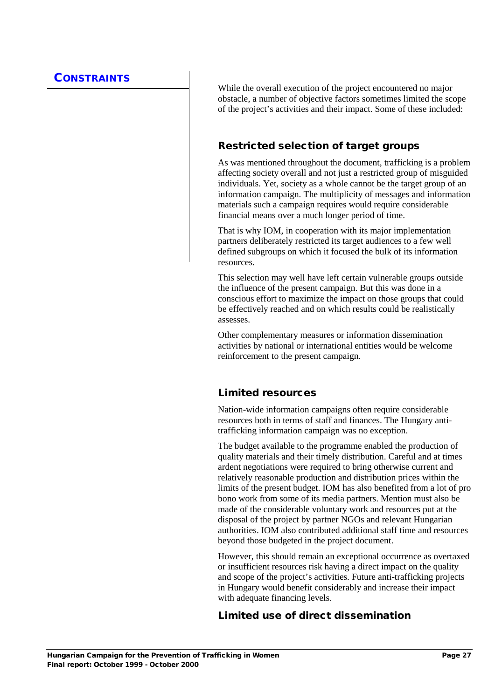# **CONSTRAINTS**

While the overall execution of the project encountered no major obstacle, a number of objective factors sometimes limited the scope of the project's activities and their impact. Some of these included:

### Restricted selection of target groups

As was mentioned throughout the document, trafficking is a problem affecting society overall and not just a restricted group of misguided individuals. Yet, society as a whole cannot be the target group of an information campaign. The multiplicity of messages and information materials such a campaign requires would require considerable financial means over a much longer period of time.

That is why IOM, in cooperation with its major implementation partners deliberately restricted its target audiences to a few well defined subgroups on which it focused the bulk of its information resources.

This selection may well have left certain vulnerable groups outside the influence of the present campaign. But this was done in a conscious effort to maximize the impact on those groups that could be effectively reached and on which results could be realistically assesses.

Other complementary measures or information dissemination activities by national or international entities would be welcome reinforcement to the present campaign.

### Limited resources

Nation-wide information campaigns often require considerable resources both in terms of staff and finances. The Hungary antitrafficking information campaign was no exception.

The budget available to the programme enabled the production of quality materials and their timely distribution. Careful and at times ardent negotiations were required to bring otherwise current and relatively reasonable production and distribution prices within the limits of the present budget. IOM has also benefited from a lot of pro bono work from some of its media partners. Mention must also be made of the considerable voluntary work and resources put at the disposal of the project by partner NGOs and relevant Hungarian authorities. IOM also contributed additional staff time and resources beyond those budgeted in the project document.

However, this should remain an exceptional occurrence as overtaxed or insufficient resources risk having a direct impact on the quality and scope of the project's activities. Future anti-trafficking projects in Hungary would benefit considerably and increase their impact with adequate financing levels.

### Limited use of direct dissemination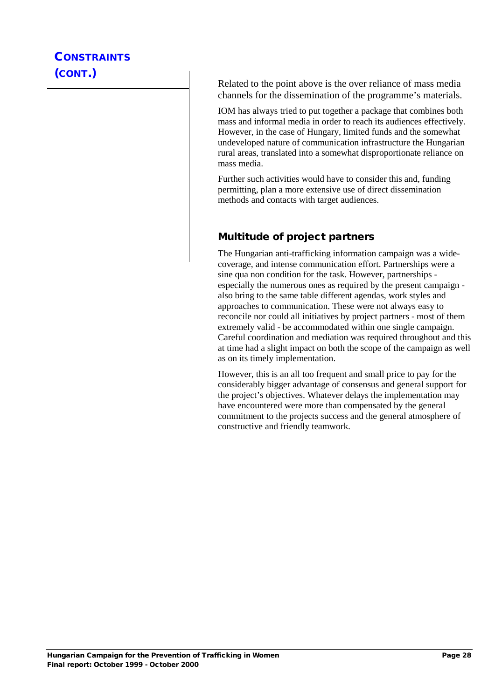# **CONSTRAINTS** (CONT.)

Related to the point above is the over reliance of mass media channels for the dissemination of the programme's materials.

IOM has always tried to put together a package that combines both mass and informal media in order to reach its audiences effectively. However, in the case of Hungary, limited funds and the somewhat undeveloped nature of communication infrastructure the Hungarian rural areas, translated into a somewhat disproportionate reliance on mass media.

Further such activities would have to consider this and, funding permitting, plan a more extensive use of direct dissemination methods and contacts with target audiences.

# Multitude of project partners

The Hungarian anti-trafficking information campaign was a widecoverage, and intense communication effort. Partnerships were a sine qua non condition for the task. However, partnerships especially the numerous ones as required by the present campaign also bring to the same table different agendas, work styles and approaches to communication. These were not always easy to reconcile nor could all initiatives by project partners - most of them extremely valid - be accommodated within one single campaign. Careful coordination and mediation was required throughout and this at time had a slight impact on both the scope of the campaign as well as on its timely implementation.

However, this is an all too frequent and small price to pay for the considerably bigger advantage of consensus and general support for the project's objectives. Whatever delays the implementation may have encountered were more than compensated by the general commitment to the projects success and the general atmosphere of constructive and friendly teamwork.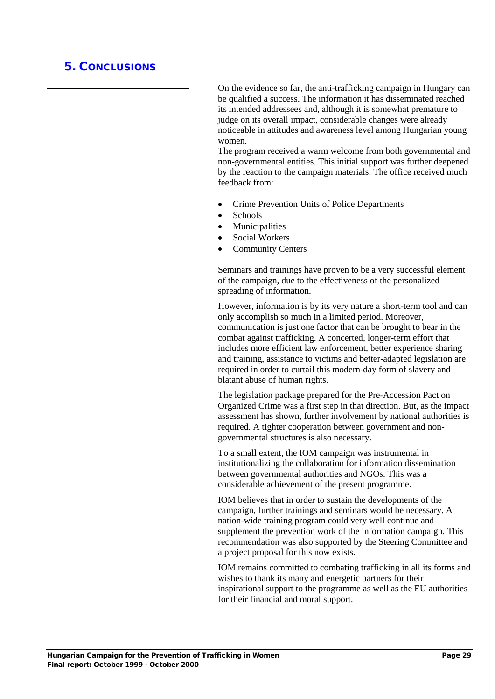# 5. CONCLUSIONS

On the evidence so far, the anti-trafficking campaign in Hungary can be qualified a success. The information it has disseminated reached its intended addressees and, although it is somewhat premature to judge on its overall impact, considerable changes were already noticeable in attitudes and awareness level among Hungarian young women.

The program received a warm welcome from both governmental and non-governmental entities. This initial support was further deepened by the reaction to the campaign materials. The office received much feedback from:

- Crime Prevention Units of Police Departments
- Schools
- **Municipalities**
- Social Workers
- Community Centers

Seminars and trainings have proven to be a very successful element of the campaign, due to the effectiveness of the personalized spreading of information.

However, information is by its very nature a short-term tool and can only accomplish so much in a limited period. Moreover, communication is just one factor that can be brought to bear in the combat against trafficking. A concerted, longer-term effort that includes more efficient law enforcement, better experience sharing and training, assistance to victims and better-adapted legislation are required in order to curtail this modern-day form of slavery and blatant abuse of human rights.

The legislation package prepared for the Pre-Accession Pact on Organized Crime was a first step in that direction. But, as the impact assessment has shown, further involvement by national authorities is required. A tighter cooperation between government and nongovernmental structures is also necessary.

To a small extent, the IOM campaign was instrumental in institutionalizing the collaboration for information dissemination between governmental authorities and NGOs. This was a considerable achievement of the present programme.

IOM believes that in order to sustain the developments of the campaign, further trainings and seminars would be necessary. A nation-wide training program could very well continue and supplement the prevention work of the information campaign. This recommendation was also supported by the Steering Committee and a project proposal for this now exists.

IOM remains committed to combating trafficking in all its forms and wishes to thank its many and energetic partners for their inspirational support to the programme as well as the EU authorities for their financial and moral support.